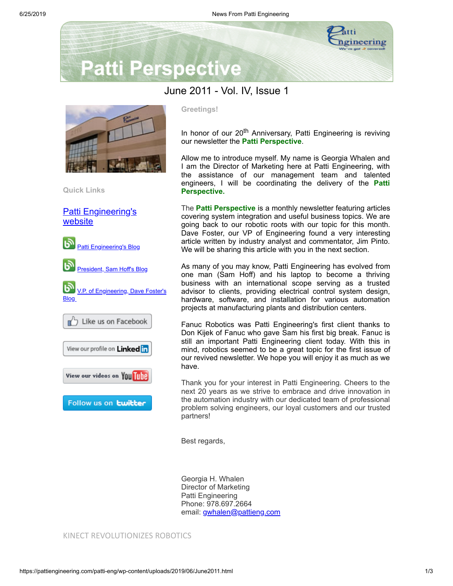

# **Patti Perspective**

## June 2011 - Vol. IV, Issue 1



**Quick Links**

[Patti Engineering's](http://www.pattieng.com/) website



### **Greetings!**

In honor of our 20<sup>th</sup> Anniversary, Patti Engineering is reviving our newsletter the **Patti Perspective**.

Allow me to introduce myself. My name is Georgia Whalen and I am the Director of Marketing here at Patti Engineering, with the assistance of our management team and talented engineers, I will be coordinating the delivery of the **Patti Perspective.**

The **Patti Perspective** is a monthly newsletter featuring articles covering system integration and useful business topics. We are going back to our robotic roots with our topic for this month. Dave Foster, our VP of Engineering found a very interesting article written by industry analyst and commentator, Jim Pinto. We will be sharing this article with you in the next section.

As many of you may know, Patti Engineering has evolved from one man (Sam Hoff) and his laptop to become a thriving business with an international scope serving as a trusted advisor to clients, providing electrical control system design, hardware, software, and installation for various automation projects at manufacturing plants and distribution centers.

Fanuc Robotics was Patti Engineering's first client thanks to Don Kijek of Fanuc who gave Sam his first big break. Fanuc is still an important Patti Engineering client today. With this in mind, robotics seemed to be a great topic for the first issue of our revived newsletter. We hope you will enjoy it as much as we have.

Thank you for your interest in Patti Engineering. Cheers to the next 20 years as we strive to embrace and drive innovation in the automation industry with our dedicated team of professional problem solving engineers, our loyal customers and our trusted partners!

Best regards,

Georgia H. Whalen Director of Marketing Patti Engineering Phone: 978.697.2664 email: [gwhalen@pattieng.com](mailto:gwhalen@pattieng.com)

#### KINECT REVOLUTIONIZES ROBOTICS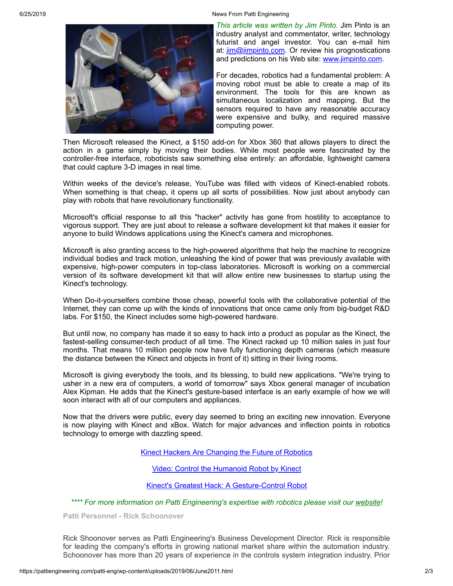6/25/2019 News From Patti Engineering



*This article was written by Jim Pinto.* Jim Pinto is an industry analyst and commentator, writer, technology futurist and angel investor. You can e-mail him at:  $\lim_{m\rightarrow\infty}$   $\lim_{m\rightarrow\infty}$   $\lim_{m\rightarrow\infty}$   $\lim_{m\rightarrow\infty}$   $\lim_{m\rightarrow\infty}$   $\lim_{m\rightarrow\infty}$   $\lim_{m\rightarrow\infty}$   $\lim_{m\rightarrow\infty}$   $\lim_{m\rightarrow\infty}$   $\lim_{m\rightarrow\infty}$   $\lim_{m\rightarrow\infty}$   $\lim_{m\rightarrow\infty}$   $\lim_{m\rightarrow\infty}$   $\lim_{m\rightarrow\infty}$   $\lim_{m\rightarrow\infty}$   $\lim_{m\rightarrow\infty}$   $\lim_{m\rightarrow\in$ and predictions on his Web site: [www.jimpinto.com](http://www.jimpinto.com/).

For decades, robotics had a fundamental problem: A moving robot must be able to create a map of its environment. The tools for this are known as simultaneous localization and mapping. But the sensors required to have any reasonable accuracy were expensive and bulky, and required massive computing power.

Then Microsoft released the Kinect, a \$150 add-on for Xbox 360 that allows players to direct the action in a game simply by moving their bodies. While most people were fascinated by the controller-free interface, roboticists saw something else entirely: an affordable, lightweight camera that could capture 3-D images in real time.

Within weeks of the device's release, YouTube was filled with videos of Kinect-enabled robots. When something is that cheap, it opens up all sorts of possibilities. Now just about anybody can play with robots that have revolutionary functionality.

Microsoft's official response to all this "hacker" activity has gone from hostility to acceptance to vigorous support. They are just about to release a software development kit that makes it easier for anyone to build Windows applications using the Kinect's camera and microphones.

Microsoft is also granting access to the high-powered algorithms that help the machine to recognize individual bodies and track motion, unleashing the kind of power that was previously available with expensive, high-power computers in top-class laboratories. Microsoft is working on a commercial version of its software development kit that will allow entire new businesses to startup using the Kinect's technology.

When Do-it-yourselfers combine those cheap, powerful tools with the collaborative potential of the Internet, they can come up with the kinds of innovations that once came only from big-budget R&D labs. For \$150, the Kinect includes some high-powered hardware.

But until now, no company has made it so easy to hack into a product as popular as the Kinect, the fastest-selling consumer-tech product of all time. The Kinect racked up 10 million sales in just four months. That means 10 million people now have fully functioning depth cameras (which measure the distance between the Kinect and objects in front of it) sitting in their living rooms.

Microsoft is giving everybody the tools, and its blessing, to build new applications. "We're trying to usher in a new era of computers, a world of tomorrow" says Xbox general manager of incubation Alex Kipman. He adds that the Kinect's gesture-based interface is an early example of how we will soon interact with all of our computers and appliances.

Now that the drivers were public, every day seemed to bring an exciting new innovation. Everyone is now playing with Kinect and xBox. Watch for major advances and inflection points in robotics technology to emerge with dazzling speed.

Kinect Hackers Are [Changing](https://www.wired.com/magazine/2011/06/mf_kinect/) the Future of Robotics

Video: Control the [Humanoid](https://www.youtube.com/watch?v=w8BmgtMKFbY) Robot by Kinect

Kinect's Greatest Hack: A [Gesture-Control](https://tinyurl.com/2fpxjw6) Robot

*\*\*\*\* For more information on Patti Engineering's expertise with robotics please visit our [website](http://www.pattieng.com/expertise/factory-automation-robotics.html)!*

**Patti Personnel - Rick Schoonover**

Rick Shoonover serves as Patti Engineering's Business Development Director. Rick is responsible for leading the company's efforts in growing national market share within the automation industry. Schoonover has more than 20 years of experience in the controls system integration industry. Prior